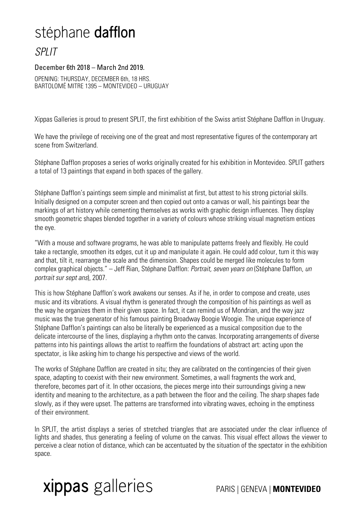## stéphane **dafflon**

## SPLIT

## December 6th 2018 – March 2nd 2019.

OPENING: THURSDAY, DECEMBER 6th, 18 HRS. BARTOLOMÉ MITRE 1395 – MONTEVIDEO – URUGUAY

Xippas Galleries is proud to present SPLIT, the first exhibition of the Swiss artist Stéphane Dafflon in Uruguay.

We have the privilege of receiving one of the great and most representative figures of the contemporary art scene from Switzerland.

Stéphane Dafflon proposes a series of works originally created for his exhibition in Montevideo. SPLIT gathers a total of 13 paintings that expand in both spaces of the gallery.

Stéphane Dafflon's paintings seem simple and minimalist at first, but attest to his strong pictorial skills. Initially designed on a computer screen and then copied out onto a canvas or wall, his paintings bear the markings of art history while cementing themselves as works with graphic design influences. They display smooth geometric shapes blended together in a variety of colours whose striking visual magnetism entices the eye.

"With a mouse and software programs, he was able to manipulate patterns freely and flexibly. He could take a rectangle, smoothen its edges, cut it up and manipulate it again. He could add colour, turn it this way and that, tilt it, rearrange the scale and the dimension. Shapes could be merged like molecules to form complex graphical objects." - Jeff Rian, Stéphane Dafflon: Portrait, seven years on (Stéphane Dafflon, un portrait sur sept ans), 2007.

This is how Stéphane Dafflon's work awakens our senses. As if he, in order to compose and create, uses music and its vibrations. A visual rhythm is generated through the composition of his paintings as well as the way he organizes them in their given space. In fact, it can remind us of Mondrian, and the way jazz music was the true generator of his famous painting Broadway Boogie Woogie. The unique experience of Stéphane Dafflon's paintings can also be literally be experienced as a musical composition due to the delicate intercourse of the lines, displaying a rhythm onto the canvas. Incorporating arrangements of diverse patterns into his paintings allows the artist to reaffirm the foundations of abstract art: acting upon the spectator, is like asking him to change his perspective and views of the world.

The works of Stéphane Dafflon are created in situ; they are calibrated on the contingencies of their given space, adapting to coexist with their new environment. Sometimes, a wall fragments the work and, therefore, becomes part of it. In other occasions, the pieces merge into their surroundings giving a new identity and meaning to the architecture, as a path between the floor and the ceiling. The sharp shapes fade slowly, as if they were upset. The patterns are transformed into vibrating waves, echoing in the emptiness of their environment.

In SPLIT, the artist displays a series of stretched triangles that are associated under the clear influence of lights and shades, thus generating a feeling of volume on the canvas. This visual effect allows the viewer to perceive a clear notion of distance, which can be accentuated by the situation of the spectator in the exhibition space.